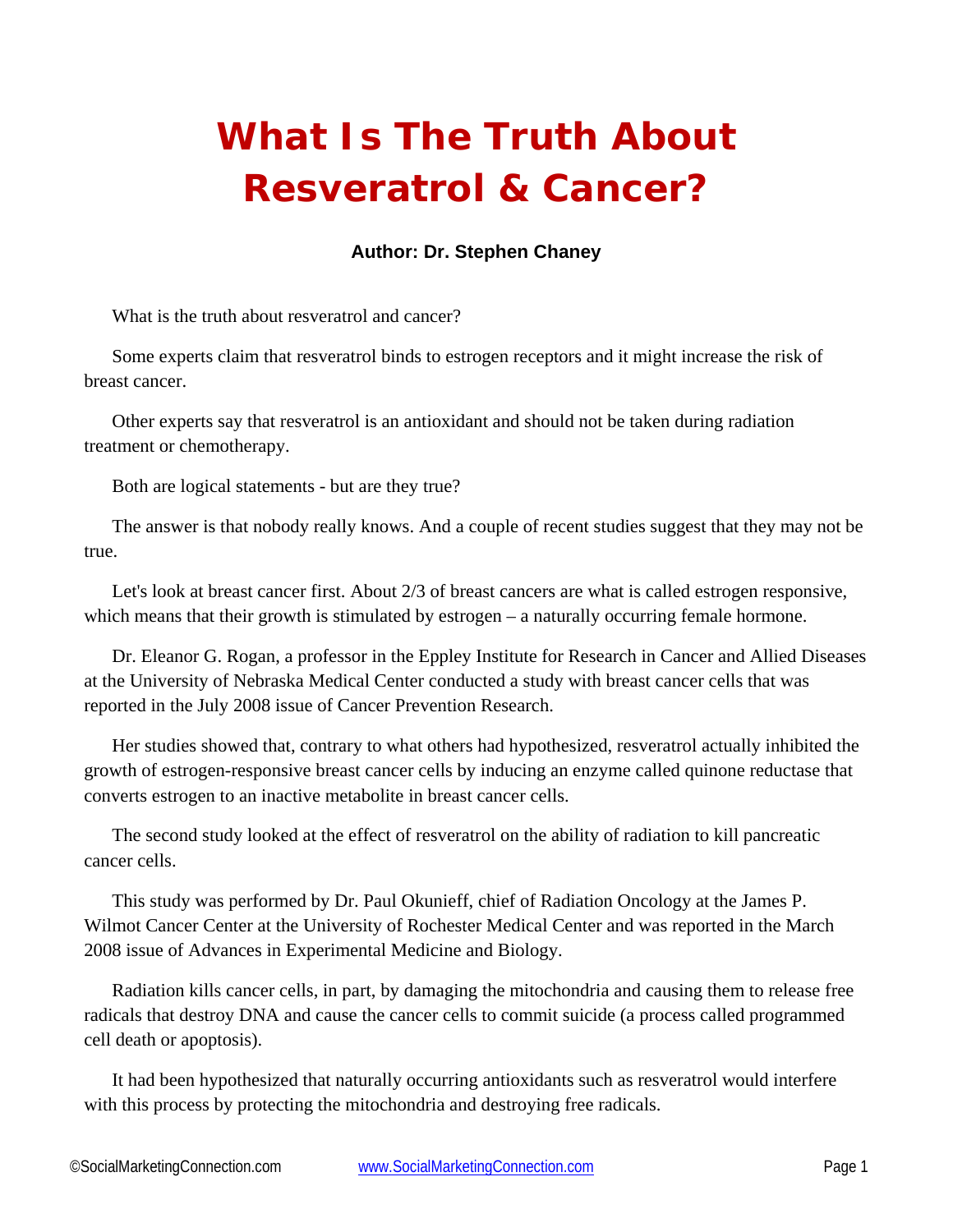## **What Is The Truth About Resveratrol & Cancer?**

## **Author: Dr. Stephen Chaney**

What is the truth about resveratrol and cancer?

Some experts claim that resveratrol binds to estrogen receptors and it might increase the risk of breast cancer.

Other experts say that resveratrol is an antioxidant and should not be taken during radiation treatment or chemotherapy.

Both are logical statements - but are they true?

The answer is that nobody really knows. And a couple of recent studies suggest that they may not be true.

Let's look at breast cancer first. About 2/3 of breast cancers are what is called estrogen responsive, which means that their growth is stimulated by estrogen – a naturally occurring female hormone.

Dr. Eleanor G. Rogan, a professor in the Eppley Institute for Research in Cancer and Allied Diseases at the University of Nebraska Medical Center conducted a study with breast cancer cells that was reported in the July 2008 issue of Cancer Prevention Research.

Her studies showed that, contrary to what others had hypothesized, resveratrol actually inhibited the growth of estrogen-responsive breast cancer cells by inducing an enzyme called quinone reductase that converts estrogen to an inactive metabolite in breast cancer cells.

The second study looked at the effect of resveratrol on the ability of radiation to kill pancreatic cancer cells.

This study was performed by Dr. Paul Okunieff, chief of Radiation Oncology at the James P. Wilmot Cancer Center at the University of Rochester Medical Center and was reported in the March 2008 issue of Advances in Experimental Medicine and Biology.

Radiation kills cancer cells, in part, by damaging the mitochondria and causing them to release free radicals that destroy DNA and cause the cancer cells to commit suicide (a process called programmed cell death or apoptosis).

It had been hypothesized that naturally occurring antioxidants such as resveratrol would interfere with this process by protecting the mitochondria and destroying free radicals.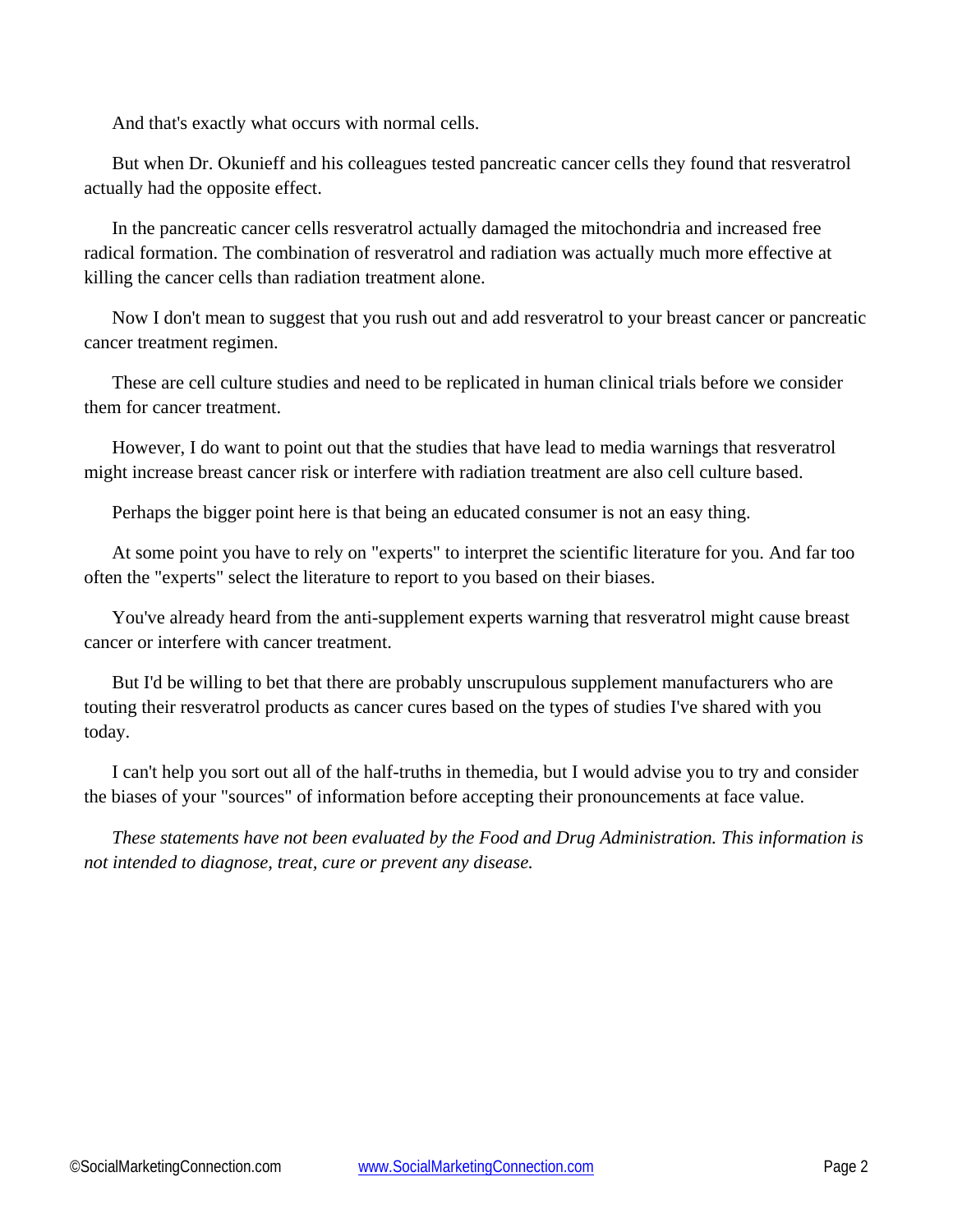And that's exactly what occurs with normal cells.

But when Dr. Okunieff and his colleagues tested pancreatic cancer cells they found that resveratrol actually had the opposite effect.

In the pancreatic cancer cells resveratrol actually damaged the mitochondria and increased free radical formation. The combination of resveratrol and radiation was actually much more effective at killing the cancer cells than radiation treatment alone.

Now I don't mean to suggest that you rush out and add resveratrol to your breast cancer or pancreatic cancer treatment regimen.

These are cell culture studies and need to be replicated in human clinical trials before we consider them for cancer treatment.

However, I do want to point out that the studies that have lead to media warnings that resveratrol might increase breast cancer risk or interfere with radiation treatment are also cell culture based.

Perhaps the bigger point here is that being an educated consumer is not an easy thing.

At some point you have to rely on "experts" to interpret the scientific literature for you. And far too often the "experts" select the literature to report to you based on their biases.

You've already heard from the anti-supplement experts warning that resveratrol might cause breast cancer or interfere with cancer treatment.

But I'd be willing to bet that there are probably unscrupulous supplement manufacturers who are touting their resveratrol products as cancer cures based on the types of studies I've shared with you today.

I can't help you sort out all of the half-truths in themedia, but I would advise you to try and consider the biases of your "sources" of information before accepting their pronouncements at face value.

*These statements have not been evaluated by the Food and Drug Administration. This information is not intended to diagnose, treat, cure or prevent any disease.*